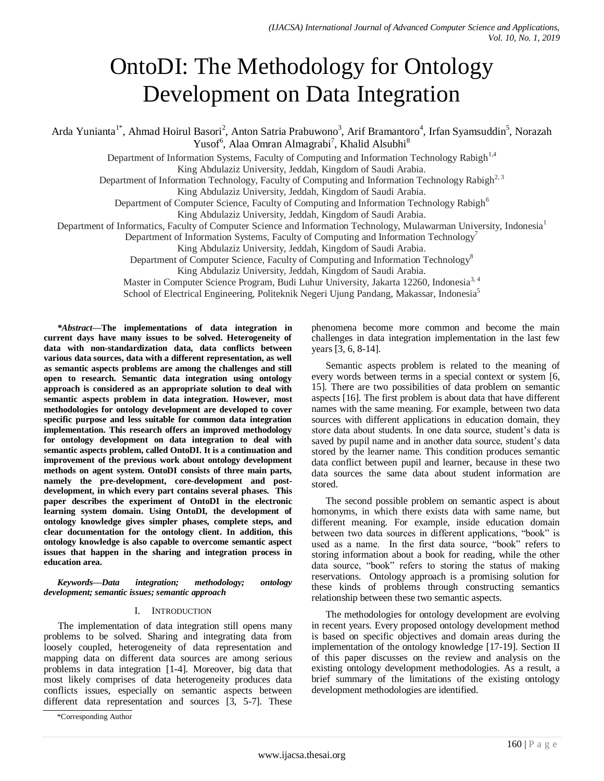# OntoDI: The Methodology for Ontology Development on Data Integration

Arda Yunianta<sup>1\*</sup>, Ahmad Hoirul Basori<sup>2</sup>, Anton Satria Prabuwono<sup>3</sup>, Arif Bramantoro<sup>4</sup>, Irfan Syamsuddin<sup>5</sup>, Norazah Yusof<sup>6</sup>, Alaa Omran Almagrabi<sup>7</sup>, Khalid Alsubhi<sup>8</sup>

Department of Information Systems, Faculty of Computing and Information Technology Rabigh<sup>1,4</sup>

King Abdulaziz University, Jeddah, Kingdom of Saudi Arabia.

Department of Information Technology, Faculty of Computing and Information Technology Rabigh<sup>2, 3</sup>

King Abdulaziz University, Jeddah, Kingdom of Saudi Arabia.

Department of Computer Science, Faculty of Computing and Information Technology Rabigh<sup>6</sup>

King Abdulaziz University, Jeddah, Kingdom of Saudi Arabia.

Department of Informatics, Faculty of Computer Science and Information Technology, Mulawarman University, Indonesia<sup>1</sup>

Department of Information Systems, Faculty of Computing and Information Technology<sup>7</sup>

King Abdulaziz University, Jeddah, Kingdom of Saudi Arabia.

Department of Computer Science, Faculty of Computing and Information Technology<sup>8</sup>

King Abdulaziz University, Jeddah, Kingdom of Saudi Arabia.

Master in Computer Science Program, Budi Luhur University, Jakarta 12260, Indonesia<sup>3, 4</sup>

School of Electrical Engineering, Politeknik Negeri Ujung Pandang, Makassar, Indonesia<sup>5</sup>

*\*Abstract***—The implementations of data integration in current days have many issues to be solved. Heterogeneity of data with non-standardization data, data conflicts between various data sources, data with a different representation, as well as semantic aspects problems are among the challenges and still open to research. Semantic data integration using ontology approach is considered as an appropriate solution to deal with semantic aspects problem in data integration. However, most methodologies for ontology development are developed to cover specific purpose and less suitable for common data integration implementation. This research offers an improved methodology for ontology development on data integration to deal with semantic aspects problem, called OntoDI. It is a continuation and improvement of the previous work about ontology development methods on agent system. OntoDI consists of three main parts, namely the pre-development, core-development and postdevelopment, in which every part contains several phases. This paper describes the experiment of OntoDI in the electronic learning system domain. Using OntoDI, the development of ontology knowledge gives simpler phases, complete steps, and clear documentation for the ontology client. In addition, this ontology knowledge is also capable to overcome semantic aspect issues that happen in the sharing and integration process in education area.**

*Keywords—Data integration; methodology; ontology development; semantic issues; semantic approach*

#### I. INTRODUCTION

The implementation of data integration still opens many problems to be solved. Sharing and integrating data from loosely coupled, heterogeneity of data representation and mapping data on different data sources are among serious problems in data integration [1-4]. Moreover, big data that most likely comprises of data heterogeneity produces data conflicts issues, especially on semantic aspects between different data representation and sources [3, 5-7]. These

\*Corresponding Author

phenomena become more common and become the main challenges in data integration implementation in the last few years [3, 6, 8-14].

Semantic aspects problem is related to the meaning of every words between terms in a special context or system [6, 15]. There are two possibilities of data problem on semantic aspects [16]. The first problem is about data that have different names with the same meaning. For example, between two data sources with different applications in education domain, they store data about students. In one data source, student's data is saved by pupil name and in another data source, student's data stored by the learner name. This condition produces semantic data conflict between pupil and learner, because in these two data sources the same data about student information are stored.

The second possible problem on semantic aspect is about homonyms, in which there exists data with same name, but different meaning. For example, inside education domain between two data sources in different applications, "book" is used as a name. In the first data source, "book" refers to storing information about a book for reading, while the other data source, "book" refers to storing the status of making reservations. Ontology approach is a promising solution for these kinds of problems through constructing semantics relationship between these two semantic aspects.

The methodologies for ontology development are evolving in recent years. Every proposed ontology development method is based on specific objectives and domain areas during the implementation of the ontology knowledge [17-19]. Section II of this paper discusses on the review and analysis on the existing ontology development methodologies. As a result, a brief summary of the limitations of the existing ontology development methodologies are identified.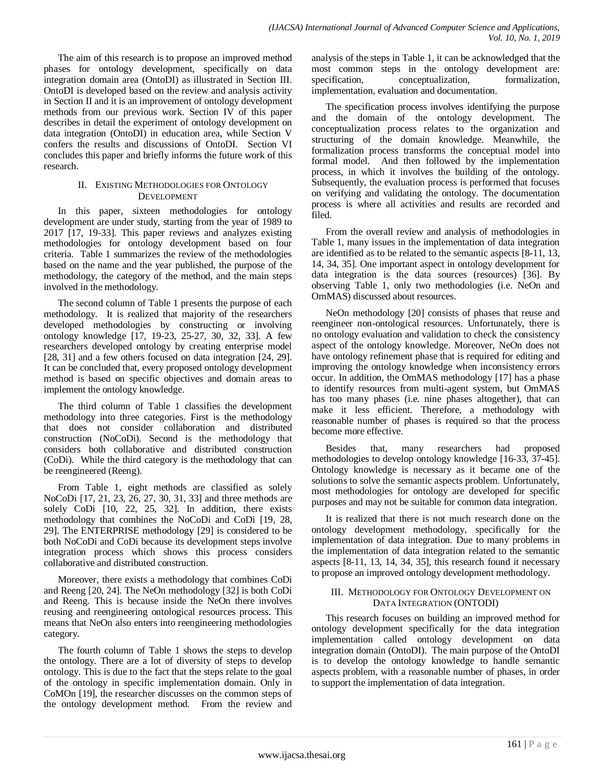The aim of this research is to propose an improved method phases for ontology development, specifically on data integration domain area (OntoDI) as illustrated in Section III. OntoDI is developed based on the review and analysis activity in Section II and it is an improvement of ontology development methods from our previous work. Section IV of this paper describes in detail the experiment of ontology development on data integration (OntoDI) in education area, while Section V confers the results and discussions of OntoDI. Section VI concludes this paper and briefly informs the future work of this research.

### II. EXISTING METHODOLOGIES FOR ONTOLOGY DEVELOPMENT

In this paper, sixteen methodologies for ontology development are under study, starting from the year of 1989 to 2017 [17, 19-33]. This paper reviews and analyzes existing methodologies for ontology development based on four criteria. Table 1 summarizes the review of the methodologies based on the name and the year published, the purpose of the methodology, the category of the method, and the main steps involved in the methodology.

The second column of Table 1 presents the purpose of each methodology. It is realized that majority of the researchers developed methodologies by constructing or involving ontology knowledge [17, 19-23, 25-27, 30, 32, 33]. A few researchers developed ontology by creating enterprise model [28, 31] and a few others focused on data integration [24, 29]. It can be concluded that, every proposed ontology development method is based on specific objectives and domain areas to implement the ontology knowledge.

The third column of Table 1 classifies the development methodology into three categories. First is the methodology that does not consider collaboration and distributed construction (NoCoDi). Second is the methodology that considers both collaborative and distributed construction (CoDi). While the third category is the methodology that can be reengineered (Reeng).

From Table 1, eight methods are classified as solely NoCoDi [17, 21, 23, 26, 27, 30, 31, 33] and three methods are solely CoDi [10, 22, 25, 32]. In addition, there exists methodology that combines the NoCoDi and CoDi [19, 28, 29]. The ENTERPRISE methodology [29] is considered to be both NoCoDi and CoDi because its development steps involve integration process which shows this process considers collaborative and distributed construction.

Moreover, there exists a methodology that combines CoDi and Reeng [20, 24]. The NeOn methodology [32] is both CoDi and Reeng. This is because inside the NeOn there involves reusing and reengineering ontological resources process. This means that NeOn also enters into reengineering methodologies category.

The fourth column of Table 1 shows the steps to develop the ontology. There are a lot of diversity of steps to develop ontology. This is due to the fact that the steps relate to the goal of the ontology in specific implementation domain. Only in CoMOn [19], the researcher discusses on the common steps of the ontology development method. From the review and analysis of the steps in Table 1, it can be acknowledged that the most common steps in the ontology development are: specification, conceptualization, formalization, implementation, evaluation and documentation.

The specification process involves identifying the purpose and the domain of the ontology development. The conceptualization process relates to the organization and structuring of the domain knowledge. Meanwhile, the formalization process transforms the conceptual model into formal model. And then followed by the implementation process, in which it involves the building of the ontology. Subsequently, the evaluation process is performed that focuses on verifying and validating the ontology. The documentation process is where all activities and results are recorded and filed.

From the overall review and analysis of methodologies in Table 1, many issues in the implementation of data integration are identified as to be related to the semantic aspects [8-11, 13, 14, 34, 35]. One important aspect in ontology development for data integration is the data sources (resources) [36]. By observing Table 1, only two methodologies (i.e. NeOn and OmMAS) discussed about resources.

NeOn methodology [20] consists of phases that reuse and reengineer non-ontological resources. Unfortunately, there is no ontology evaluation and validation to check the consistency aspect of the ontology knowledge. Moreover, NeOn does not have ontology refinement phase that is required for editing and improving the ontology knowledge when inconsistency errors occur. In addition, the OmMAS methodology [17] has a phase to identify resources from multi-agent system, but OmMAS has too many phases (i.e. nine phases altogether), that can make it less efficient. Therefore, a methodology with reasonable number of phases is required so that the process become more effective.

Besides that, many researchers had proposed methodologies to develop ontology knowledge [16-33, 37-45]. Ontology knowledge is necessary as it became one of the solutions to solve the semantic aspects problem. Unfortunately, most methodologies for ontology are developed for specific purposes and may not be suitable for common data integration.

It is realized that there is not much research done on the ontology development methodology, specifically for the implementation of data integration. Due to many problems in the implementation of data integration related to the semantic aspects [8-11, 13, 14, 34, 35], this research found it necessary to propose an improved ontology development methodology.

### III. METHODOLOGY FOR ONTOLOGY DEVELOPMENT ON DATA INTEGRATION (ONTODI)

This research focuses on building an improved method for ontology development specifically for the data integration implementation called ontology development on data integration domain (OntoDI). The main purpose of the OntoDI is to develop the ontology knowledge to handle semantic aspects problem, with a reasonable number of phases, in order to support the implementation of data integration.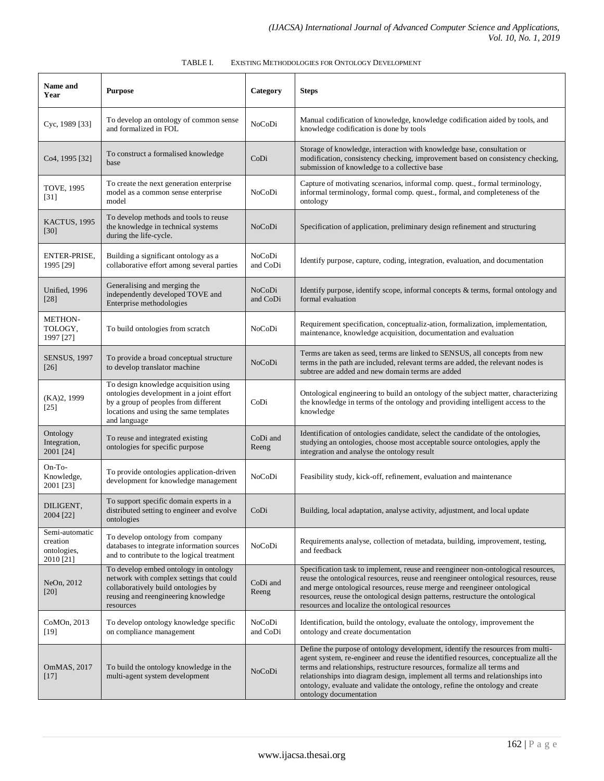| Name and<br>Year                                       | <b>Purpose</b>                                                                                                                                                                      | Category           | <b>Steps</b>                                                                                                                                                                                                                                                                                                                                                                                                                                |
|--------------------------------------------------------|-------------------------------------------------------------------------------------------------------------------------------------------------------------------------------------|--------------------|---------------------------------------------------------------------------------------------------------------------------------------------------------------------------------------------------------------------------------------------------------------------------------------------------------------------------------------------------------------------------------------------------------------------------------------------|
| Cyc, 1989 [33]                                         | To develop an ontology of common sense<br>and formalized in FOL                                                                                                                     | NoCoDi             | Manual codification of knowledge, knowledge codification aided by tools, and<br>knowledge codification is done by tools                                                                                                                                                                                                                                                                                                                     |
| Co4, 1995 [32]                                         | To construct a formalised knowledge<br>base                                                                                                                                         | CoDi               | Storage of knowledge, interaction with knowledge base, consultation or<br>modification, consistency checking, improvement based on consistency checking,<br>submission of knowledge to a collective base                                                                                                                                                                                                                                    |
| <b>TOVE, 1995</b><br>$[31]$                            | To create the next generation enterprise<br>model as a common sense enterprise<br>model                                                                                             | NoCoDi             | Capture of motivating scenarios, informal comp. quest., formal terminology,<br>informal terminology, formal comp. quest., formal, and completeness of the<br>ontology                                                                                                                                                                                                                                                                       |
| KACTUS, 1995<br>$[30]$                                 | To develop methods and tools to reuse<br>the knowledge in technical systems<br>during the life-cycle.                                                                               | NoCoDi             | Specification of application, preliminary design refinement and structuring                                                                                                                                                                                                                                                                                                                                                                 |
| ENTER-PRISE,<br>1995 [29]                              | Building a significant ontology as a<br>collaborative effort among several parties                                                                                                  | NoCoDi<br>and CoDi | Identify purpose, capture, coding, integration, evaluation, and documentation                                                                                                                                                                                                                                                                                                                                                               |
| Unified, 1996<br>$[28]$                                | Generalising and merging the<br>independently developed TOVE and<br>Enterprise methodologies                                                                                        | NoCoDi<br>and CoDi | Identify purpose, identify scope, informal concepts & terms, formal ontology and<br>formal evaluation                                                                                                                                                                                                                                                                                                                                       |
| <b>METHON-</b><br>TOLOGY,<br>1997 [27]                 | To build ontologies from scratch                                                                                                                                                    | NoCoDi             | Requirement specification, conceptualiz-ation, formalization, implementation,<br>maintenance, knowledge acquisition, documentation and evaluation                                                                                                                                                                                                                                                                                           |
| <b>SENSUS, 1997</b><br>$[26]$                          | To provide a broad conceptual structure<br>to develop translator machine                                                                                                            | NoCoDi             | Terms are taken as seed, terms are linked to SENSUS, all concepts from new<br>terms in the path are included, relevant terms are added, the relevant nodes is<br>subtree are added and new domain terms are added                                                                                                                                                                                                                           |
| (KA)2, 1999<br>$[25]$                                  | To design knowledge acquisition using<br>ontologies development in a joint effort<br>by a group of peoples from different<br>locations and using the same templates<br>and language | CoDi               | Ontological engineering to build an ontology of the subject matter, characterizing<br>the knowledge in terms of the ontology and providing intelligent access to the<br>knowledge                                                                                                                                                                                                                                                           |
| Ontology<br>Integration,<br>2001 [24]                  | To reuse and integrated existing<br>ontologies for specific purpose                                                                                                                 | CoDi and<br>Reeng  | Identification of ontologies candidate, select the candidate of the ontologies,<br>studying an ontologies, choose most acceptable source ontologies, apply the<br>integration and analyse the ontology result                                                                                                                                                                                                                               |
| $On-To-$<br>Knowledge,<br>2001 [23]                    | To provide ontologies application-driven<br>development for knowledge management                                                                                                    | NoCoDi             | Feasibility study, kick-off, refinement, evaluation and maintenance                                                                                                                                                                                                                                                                                                                                                                         |
| DILIGENT,<br>2004 [22]                                 | To support specific domain experts in a<br>distributed setting to engineer and evolve<br>ontologies                                                                                 | CoDi               | Building, local adaptation, analyse activity, adjustment, and local update                                                                                                                                                                                                                                                                                                                                                                  |
| Semi-automatic<br>creation<br>ontologies,<br>2010 [21] | To develop ontology from company<br>databases to integrate information sources<br>and to contribute to the logical treatment                                                        | NoCoDi             | Requirements analyse, collection of metadata, building, improvement, testing,<br>and feedback                                                                                                                                                                                                                                                                                                                                               |
| NeOn, 2012<br>$[20]$                                   | To develop embed ontology in ontology<br>network with complex settings that could<br>collaboratively build ontologies by<br>reusing and reengineering knowledge<br>resources        | CoDi and<br>Reeng  | Specification task to implement, reuse and reengineer non-ontological resources,<br>reuse the ontological resources, reuse and reengineer ontological resources, reuse<br>and merge ontological resources, reuse merge and reengineer ontological<br>resources, reuse the ontological design patterns, restructure the ontological<br>resources and localize the ontological resources                                                      |
| CoMOn, 2013<br>$[19]$                                  | To develop ontology knowledge specific<br>on compliance management                                                                                                                  | NoCoDi<br>and CoDi | Identification, build the ontology, evaluate the ontology, improvement the<br>ontology and create documentation                                                                                                                                                                                                                                                                                                                             |
| OmMAS, 2017<br>$[17]$                                  | To build the ontology knowledge in the<br>multi-agent system development                                                                                                            | NoCoDi             | Define the purpose of ontology development, identify the resources from multi-<br>agent system, re-engineer and reuse the identified resources, conceptualize all the<br>terms and relationships, restructure resources, formalize all terms and<br>relationships into diagram design, implement all terms and relationships into<br>ontology, evaluate and validate the ontology, refine the ontology and create<br>ontology documentation |

| TABLE I. | EXISTING METHODOLOGIES FOR ONTOLOGY DEVELOPMENT |
|----------|-------------------------------------------------|
|          |                                                 |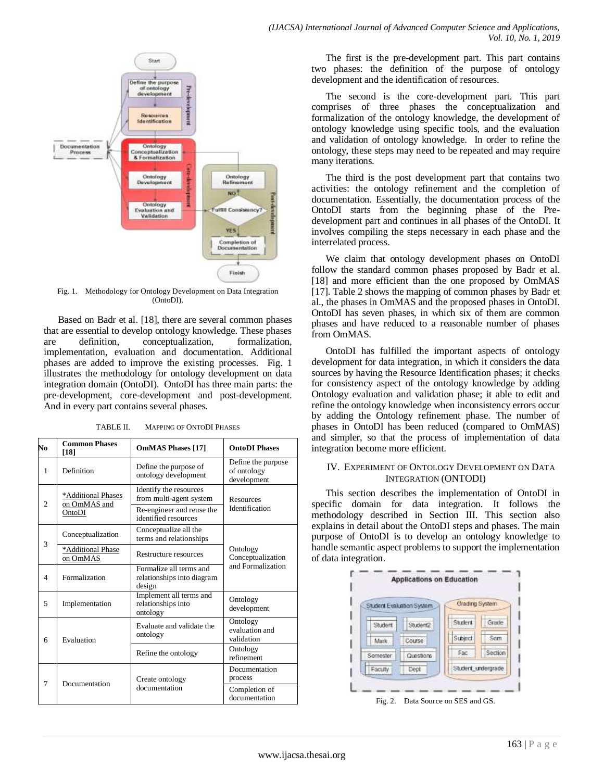

Fig. 1. Methodology for Ontology Development on Data Integration (OntoDI).

Based on Badr et al. [18], there are several common phases that are essential to develop ontology knowledge. These phases are definition, conceptualization, formalization, implementation, evaluation and documentation. Additional phases are added to improve the existing processes. Fig. 1 illustrates the methodology for ontology development on data integration domain (OntoDI). OntoDI has three main parts: the pre-development, core-development and post-development. And in every part contains several phases.

| No             | <b>Common Phases</b><br>[18]                 | <b>OmMAS Phases [17]</b>                                        | <b>OntoDI</b> Phases                             |  |
|----------------|----------------------------------------------|-----------------------------------------------------------------|--------------------------------------------------|--|
| $\mathbf{1}$   | Definition                                   | Define the purpose of<br>ontology development                   | Define the purpose<br>of ontology<br>development |  |
| $\overline{2}$ | *Additional Phases<br>on OmMAS and<br>OntoDI | Identify the resources<br>from multi-agent system               | <b>Resources</b><br>Identification               |  |
|                |                                              | Re-engineer and reuse the<br>identified resources               |                                                  |  |
| 3              | Conceptualization                            | Conceptualize all the<br>terms and relationships                |                                                  |  |
|                | *Additional Phase<br>on OmMAS                | Restructure resources                                           | Ontology<br>Conceptualization                    |  |
| $\overline{4}$ | Formalization                                | Formalize all terms and<br>relationships into diagram<br>design | and Formalization                                |  |
| 5              | Implementation                               | Implement all terms and<br>relationships into<br>ontology       | Ontology<br>development                          |  |
| 6              | Evaluation                                   | Evaluate and validate the<br>ontology                           | Ontology<br>evaluation and<br>validation         |  |
|                |                                              | Refine the ontology                                             | Ontology<br>refinement                           |  |
| 7              | Documentation                                | Create ontology                                                 | Documentation<br>process                         |  |
|                |                                              | documentation                                                   | Completion of<br>documentation                   |  |

TABLE II. MAPPING OF ONTODI PHASES

The first is the pre-development part. This part contains two phases: the definition of the purpose of ontology development and the identification of resources.

The second is the core-development part. This part comprises of three phases the conceptualization and formalization of the ontology knowledge, the development of ontology knowledge using specific tools, and the evaluation and validation of ontology knowledge. In order to refine the ontology, these steps may need to be repeated and may require many iterations.

The third is the post development part that contains two activities: the ontology refinement and the completion of documentation. Essentially, the documentation process of the OntoDI starts from the beginning phase of the Predevelopment part and continues in all phases of the OntoDI. It involves compiling the steps necessary in each phase and the interrelated process.

We claim that ontology development phases on OntoDI follow the standard common phases proposed by Badr et al. [18] and more efficient than the one proposed by OmMAS [17]. Table 2 shows the mapping of common phases by Badr et al., the phases in OmMAS and the proposed phases in OntoDI. OntoDI has seven phases, in which six of them are common phases and have reduced to a reasonable number of phases from OmMAS.

OntoDI has fulfilled the important aspects of ontology development for data integration, in which it considers the data sources by having the Resource Identification phases; it checks for consistency aspect of the ontology knowledge by adding Ontology evaluation and validation phase; it able to edit and refine the ontology knowledge when inconsistency errors occur by adding the Ontology refinement phase. The number of phases in OntoDI has been reduced (compared to OmMAS) and simpler, so that the process of implementation of data integration become more efficient.

## IV. EXPERIMENT OF ONTOLOGY DEVELOPMENT ON DATA INTEGRATION (ONTODI)

This section describes the implementation of OntoDI in specific domain for data integration. It follows the methodology described in Section III. This section also explains in detail about the OntoDI steps and phases. The main purpose of OntoDI is to develop an ontology knowledge to handle semantic aspect problems to support the implementation of data integration.



www.ijacsa.thesai.org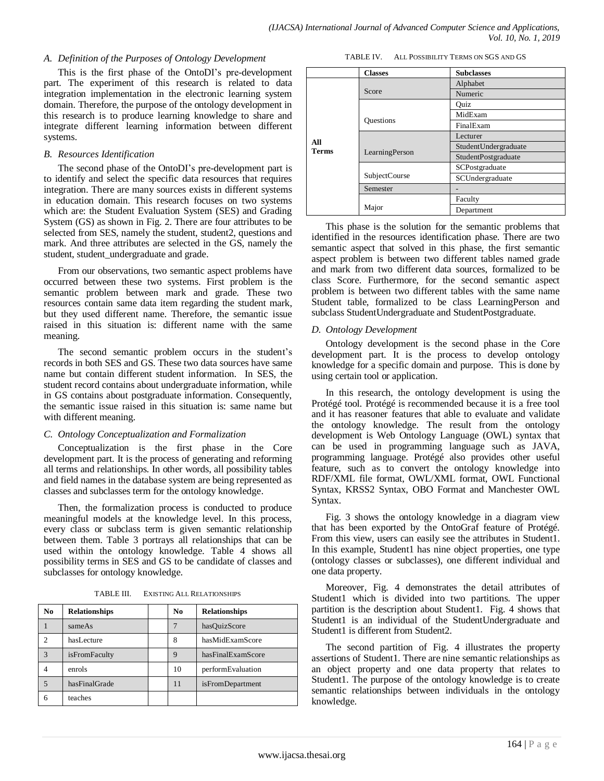#### *A. Definition of the Purposes of Ontology Development*

This is the first phase of the OntoDI"s pre-development part. The experiment of this research is related to data integration implementation in the electronic learning system domain. Therefore, the purpose of the ontology development in this research is to produce learning knowledge to share and integrate different learning information between different systems.

### *B. Resources Identification*

The second phase of the OntoDI"s pre-development part is to identify and select the specific data resources that requires integration. There are many sources exists in different systems in education domain. This research focuses on two systems which are: the Student Evaluation System (SES) and Grading System (GS) as shown in Fig. 2. There are four attributes to be selected from SES, namely the student, student2, questions and mark. And three attributes are selected in the GS, namely the student, student\_undergraduate and grade.

From our observations, two semantic aspect problems have occurred between these two systems. First problem is the semantic problem between mark and grade. These two resources contain same data item regarding the student mark, but they used different name. Therefore, the semantic issue raised in this situation is: different name with the same meaning.

The second semantic problem occurs in the student's records in both SES and GS. These two data sources have same name but contain different student information. In SES, the student record contains about undergraduate information, while in GS contains about postgraduate information. Consequently, the semantic issue raised in this situation is: same name but with different meaning.

## *C. Ontology Conceptualization and Formalization*

Conceptualization is the first phase in the Core development part. It is the process of generating and reforming all terms and relationships. In other words, all possibility tables and field names in the database system are being represented as classes and subclasses term for the ontology knowledge.

Then, the formalization process is conducted to produce meaningful models at the knowledge level. In this process, every class or subclass term is given semantic relationship between them. Table 3 portrays all relationships that can be used within the ontology knowledge. Table 4 shows all possibility terms in SES and GS to be candidate of classes and subclasses for ontology knowledge.

| No.            | <b>Relationships</b> | No | <b>Relationships</b>    |
|----------------|----------------------|----|-------------------------|
|                | sameAs               |    | hasQuizScore            |
| $\mathfrak{D}$ | hasLecture           | 8  | hasMidExamScore         |
| 3              | <i>isFromFaculty</i> | 9  | hasFinalExamScore       |
|                | enrols               | 10 | performEvaluation       |
| 5              | hasFinalGrade        | 11 | <i>isFromDepartment</i> |
| 6              | teaches              |    |                         |

TABLE III. EXISTING ALL RELATIONSHIPS

TABLE IV. ALL POSSIBILITY TERMS ON SGS AND GS

|              | <b>Classes</b>   | <b>Subclasses</b>    |
|--------------|------------------|----------------------|
|              |                  | Alphabet             |
|              | Score            | Numeric              |
|              |                  | Ouiz                 |
|              |                  | MidExam              |
|              | <b>Questions</b> | FinalExam            |
|              |                  | Lecturer             |
| All<br>Terms |                  | StudentUndergraduate |
|              | LearningPerson   | StudentPostgraduate  |
|              |                  | SCPostgraduate       |
|              | SubjectCourse    | SCUndergraduate      |
|              | Semester         |                      |
|              |                  | Faculty              |
|              | Major            | Department           |

This phase is the solution for the semantic problems that identified in the resources identification phase. There are two semantic aspect that solved in this phase, the first semantic aspect problem is between two different tables named grade and mark from two different data sources, formalized to be class Score. Furthermore, for the second semantic aspect problem is between two different tables with the same name Student table, formalized to be class LearningPerson and subclass StudentUndergraduate and StudentPostgraduate.

### *D. Ontology Development*

Ontology development is the second phase in the Core development part. It is the process to develop ontology knowledge for a specific domain and purpose. This is done by using certain tool or application.

In this research, the ontology development is using the Protégé tool. Protégé is recommended because it is a free tool and it has reasoner features that able to evaluate and validate the ontology knowledge. The result from the ontology development is Web Ontology Language (OWL) syntax that can be used in programming language such as JAVA, programming language. Protégé also provides other useful feature, such as to convert the ontology knowledge into RDF/XML file format, OWL/XML format, OWL Functional Syntax, KRSS2 Syntax, OBO Format and Manchester OWL Syntax.

Fig. 3 shows the ontology knowledge in a diagram view that has been exported by the OntoGraf feature of Protégé. From this view, users can easily see the attributes in Student1. In this example, Student1 has nine object properties, one type (ontology classes or subclasses), one different individual and one data property.

Moreover, Fig. 4 demonstrates the detail attributes of Student1 which is divided into two partitions. The upper partition is the description about Student1. Fig. 4 shows that Student1 is an individual of the StudentUndergraduate and Student1 is different from Student2.

The second partition of Fig. 4 illustrates the property assertions of Student1. There are nine semantic relationships as an object property and one data property that relates to Student1. The purpose of the ontology knowledge is to create semantic relationships between individuals in the ontology knowledge.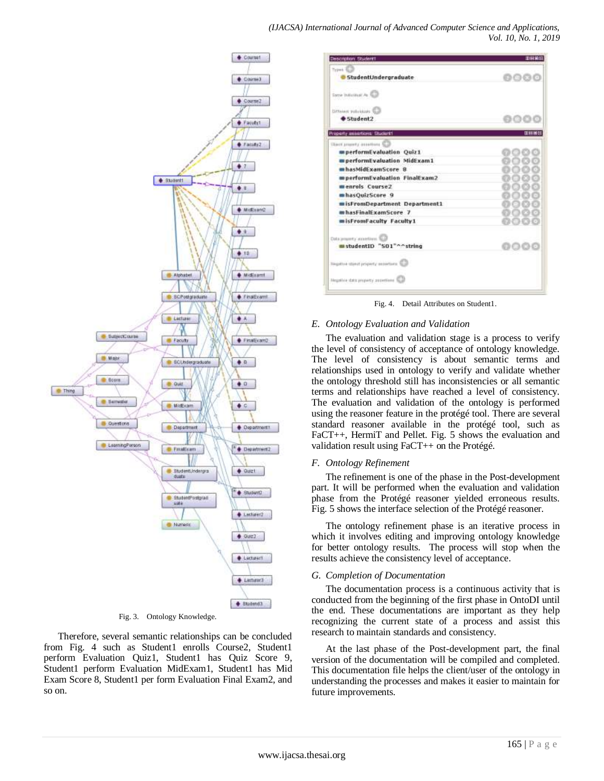

Fig. 3. Ontology Knowledge.

Therefore, several semantic relationships can be concluded from Fig. 4 such as Student1 enrolls Course2, Student1 perform Evaluation Quiz1, Student1 has Quiz Score 9, Student1 perform Evaluation MidExam1, Student1 has Mid Exam Score 8, Student1 per form Evaluation Final Exam2, and so on.

| Types, C.                                 |      |
|-------------------------------------------|------|
| StudentUndergraduate                      | 0000 |
| fame industrial As 4                      |      |
| Dittainer volvisions U.S.                 |      |
| $student2$                                |      |
| <b>Property anisertions: Student1</b>     | 田田居岡 |
| (Reef property associate)                 |      |
| mperformEvaluation Quiz1                  |      |
| experformEvaluation MidExam1              |      |
| hasMidExamScore 8                         |      |
| mperformEvaluation FinalExam2             |      |
| menrols Course?                           |      |
| mhasQuizScore 9                           |      |
| sisFromDepartment Department1             |      |
| mhasFinalExamScore 7                      |      |
| sisFromFaculty Faculty1                   |      |
| Data property accordings: \$2.2           |      |
| studentiD "501"^^string                   | neso |
| Trigative storet property assertants that |      |
| Negative data:property.assertions         |      |

Fig. 4. Detail Attributes on Student1.

## *E. Ontology Evaluation and Validation*

The evaluation and validation stage is a process to verify the level of consistency of acceptance of ontology knowledge. The level of consistency is about semantic terms and relationships used in ontology to verify and validate whether the ontology threshold still has inconsistencies or all semantic terms and relationships have reached a level of consistency. The evaluation and validation of the ontology is performed using the reasoner feature in the protégé tool. There are several standard reasoner available in the protégé tool, such as FaCT++, HermiT and Pellet. Fig. 5 shows the evaluation and validation result using FaCT++ on the Protégé.

#### *F. Ontology Refinement*

The refinement is one of the phase in the Post-development part. It will be performed when the evaluation and validation phase from the Protégé reasoner yielded erroneous results. Fig. 5 shows the interface selection of the Protégé reasoner.

The ontology refinement phase is an iterative process in which it involves editing and improving ontology knowledge for better ontology results. The process will stop when the results achieve the consistency level of acceptance.

#### *G. Completion of Documentation*

The documentation process is a continuous activity that is conducted from the beginning of the first phase in OntoDI until the end. These documentations are important as they help recognizing the current state of a process and assist this research to maintain standards and consistency.

At the last phase of the Post-development part, the final version of the documentation will be compiled and completed. This documentation file helps the client/user of the ontology in understanding the processes and makes it easier to maintain for future improvements.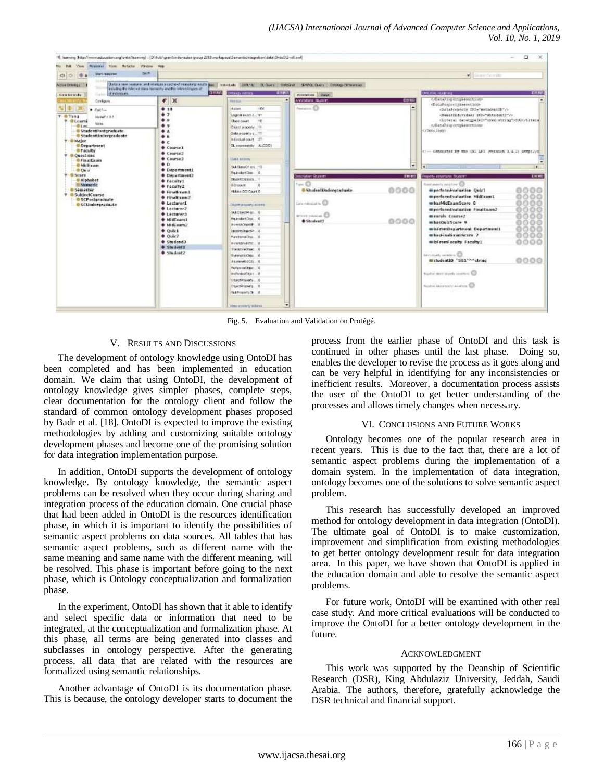

Fig. 5. Evaluation and Validation on Protégé.

#### V. RESULTS AND DISCUSSIONS

The development of ontology knowledge using OntoDI has been completed and has been implemented in education domain. We claim that using OntoDI, the development of ontology knowledge gives simpler phases, complete steps, clear documentation for the ontology client and follow the standard of common ontology development phases proposed by Badr et al. [18]. OntoDI is expected to improve the existing methodologies by adding and customizing suitable ontology development phases and become one of the promising solution for data integration implementation purpose.

In addition, OntoDI supports the development of ontology knowledge. By ontology knowledge, the semantic aspect problems can be resolved when they occur during sharing and integration process of the education domain. One crucial phase that had been added in OntoDI is the resources identification phase, in which it is important to identify the possibilities of semantic aspect problems on data sources. All tables that has semantic aspect problems, such as different name with the same meaning and same name with the different meaning, will be resolved. This phase is important before going to the next phase, which is Ontology conceptualization and formalization phase.

In the experiment, OntoDI has shown that it able to identify and select specific data or information that need to be integrated, at the conceptualization and formalization phase. At this phase, all terms are being generated into classes and subclasses in ontology perspective. After the generating process, all data that are related with the resources are formalized using semantic relationships.

Another advantage of OntoDI is its documentation phase. This is because, the ontology developer starts to document the process from the earlier phase of OntoDI and this task is continued in other phases until the last phase. Doing so, enables the developer to revise the process as it goes along and can be very helpful in identifying for any inconsistencies or inefficient results. Moreover, a documentation process assists the user of the OntoDI to get better understanding of the processes and allows timely changes when necessary.

#### VI. CONCLUSIONS AND FUTURE WORKS

Ontology becomes one of the popular research area in recent years. This is due to the fact that, there are a lot of semantic aspect problems during the implementation of a domain system. In the implementation of data integration, ontology becomes one of the solutions to solve semantic aspect problem.

This research has successfully developed an improved method for ontology development in data integration (OntoDI). The ultimate goal of OntoDI is to make customization, improvement and simplification from existing methodologies to get better ontology development result for data integration area. In this paper, we have shown that OntoDI is applied in the education domain and able to resolve the semantic aspect problems.

For future work, OntoDI will be examined with other real case study. And more critical evaluations will be conducted to improve the OntoDI for a better ontology development in the future.

#### ACKNOWLEDGMENT

This work was supported by the Deanship of Scientific Research (DSR), King Abdulaziz University, Jeddah, Saudi Arabia. The authors, therefore, gratefully acknowledge the DSR technical and financial support.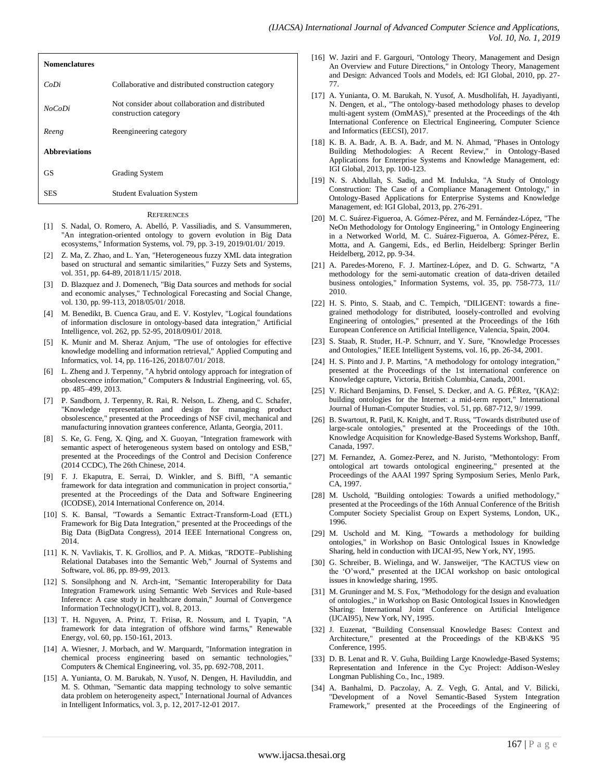| <b>Nomenclatures</b> |                                                                           |
|----------------------|---------------------------------------------------------------------------|
| CoDi                 | Collaborative and distributed construction category                       |
| <b>NoCoDi</b>        | Not consider about collaboration and distributed<br>construction category |
| Reeng                | Reengineering category                                                    |
| <b>Abbreviations</b> |                                                                           |
| <b>GS</b>            | Grading System                                                            |
| SES                  | <b>Student Evaluation System</b>                                          |

#### **REFERENCES**

- [1] S. Nadal, O. Romero, A. Abelló, P. Vassiliadis, and S. Vansummeren, "An integration-oriented ontology to govern evolution in Big Data ecosystems," Information Systems, vol. 79, pp. 3-19, 2019/01/01/ 2019.
- [2] Z. Ma, Z. Zhao, and L. Yan, "Heterogeneous fuzzy XML data integration based on structural and semantic similarities," Fuzzy Sets and Systems, vol. 351, pp. 64-89, 2018/11/15/ 2018.
- [3] D. Blazquez and J. Domenech, "Big Data sources and methods for social and economic analyses," Technological Forecasting and Social Change, vol. 130, pp. 99-113, 2018/05/01/ 2018.
- [4] M. Benedikt, B. Cuenca Grau, and E. V. Kostylev, "Logical foundations of information disclosure in ontology-based data integration," Artificial Intelligence, vol. 262, pp. 52-95, 2018/09/01/ 2018.
- [5] K. Munir and M. Sheraz Anjum, "The use of ontologies for effective knowledge modelling and information retrieval," Applied Computing and Informatics, vol. 14, pp. 116-126, 2018/07/01/ 2018.
- [6] L. Zheng and J. Terpenny, "A hybrid ontology approach for integration of obsolescence information," Computers & Industrial Engineering, vol. 65, pp. 485–499, 2013.
- [7] P. Sandborn, J. Terpenny, R. Rai, R. Nelson, L. Zheng, and C. Schafer, "Knowledge representation and design for managing product obsolescence," presented at the Proceedings of NSF civil, mechanical and manufacturing innovation grantees conference, Atlanta, Georgia, 2011.
- [8] S. Ke, G. Feng, X. Qing, and X. Guoyan, "Integration framework with semantic aspect of heterogeneous system based on ontology and ESB," presented at the Proceedings of the Control and Decision Conference (2014 CCDC), The 26th Chinese, 2014.
- [9] F. J. Ekaputra, E. Serrai, D. Winkler, and S. Biffl, "A semantic framework for data integration and communication in project consortia," presented at the Proceedings of the Data and Software Engineering (ICODSE), 2014 International Conference on, 2014.
- [10] S. K. Bansal, "Towards a Semantic Extract-Transform-Load (ETL) Framework for Big Data Integration," presented at the Proceedings of the Big Data (BigData Congress), 2014 IEEE International Congress on, 2014.
- [11] K. N. Vavliakis, T. K. Grollios, and P. A. Mitkas, "RDOTE–Publishing Relational Databases into the Semantic Web," Journal of Systems and Software, vol. 86, pp. 89-99, 2013.
- [12] S. Sonsilphong and N. Arch-int, "Semantic Interoperability for Data Integration Framework using Semantic Web Services and Rule-based Inference: A case study in healthcare domain," Journal of Convergence Information Technology(JCIT), vol. 8, 2013.
- [13] T. H. Nguyen, A. Prinz, T. Friisø, R. Nossum, and I. Tyapin, "A framework for data integration of offshore wind farms," Renewable Energy, vol. 60, pp. 150-161, 2013.
- [14] A. Wiesner, J. Morbach, and W. Marquardt, "Information integration in chemical process engineering based on semantic technologies," Computers & Chemical Engineering, vol. 35, pp. 692-708, 2011.
- [15] A. Yunianta, O. M. Barukab, N. Yusof, N. Dengen, H. Haviluddin, and M. S. Othman, "Semantic data mapping technology to solve semantic data problem on heterogeneity aspect," International Journal of Advances in Intelligent Informatics, vol. 3, p. 12, 2017-12-01 2017.
- [16] W. Jaziri and F. Gargouri, "Ontology Theory, Management and Design An Overview and Future Directions," in Ontology Theory, Management and Design: Advanced Tools and Models, ed: IGI Global, 2010, pp. 27- 77.
- [17] A. Yunianta, O. M. Barukah, N. Yusof, A. Musdholifah, H. Jayadiyanti, N. Dengen, et al., "The ontology-based methodology phases to develop multi-agent system (OmMAS)," presented at the Proceedings of the 4th International Conference on Electrical Engineering, Computer Science and Informatics (EECSI), 2017.
- [18] K. B. A. Badr, A. B. A. Badr, and M. N. Ahmad, "Phases in Ontology Building Methodologies: A Recent Review," in Ontology-Based Applications for Enterprise Systems and Knowledge Management, ed: IGI Global, 2013, pp. 100-123.
- [19] N. S. Abdullah, S. Sadiq, and M. Indulska, "A Study of Ontology Construction: The Case of a Compliance Management Ontology," in Ontology-Based Applications for Enterprise Systems and Knowledge Management, ed: IGI Global, 2013, pp. 276-291.
- [20] M. C. Suárez-Figueroa, A. Gómez-Pérez, and M. Fernández-López, "The NeOn Methodology for Ontology Engineering," in Ontology Engineering in a Networked World, M. C. Suárez-Figueroa, A. Gómez-Pérez, E. Motta, and A. Gangemi, Eds., ed Berlin, Heidelberg: Springer Berlin Heidelberg, 2012, pp. 9-34.
- [21] A. Paredes-Moreno, F. J. Martínez-López, and D. G. Schwartz, "A methodology for the semi-automatic creation of data-driven detailed business ontologies," Information Systems, vol. 35, pp. 758-773, 11// 2010.
- [22] H. S. Pinto, S. Staab, and C. Tempich, "DILIGENT: towards a finegrained methodology for distributed, loosely-controlled and evolving Engineering of ontologies," presented at the Proceedings of the 16th European Conference on Artificial Intelligence, Valencia, Spain, 2004.
- [23] S. Staab, R. Studer, H.-P. Schnurr, and Y. Sure, "Knowledge Processes and Ontologies," IEEE Intelligent Systems, vol. 16, pp. 26-34, 2001.
- [24] H. S. Pinto and J. P. Martins, "A methodology for ontology integration," presented at the Proceedings of the 1st international conference on Knowledge capture, Victoria, British Columbia, Canada, 2001.
- [25] V. Richard Benjamins, D. Fensel, S. Decker, and A. G. PÉRez, "(KA)2: building ontologies for the Internet: a mid-term report," International Journal of Human-Computer Studies, vol. 51, pp. 687-712, 9// 1999.
- [26] B. Swartout, R. Patil, K. Knight, and T. Russ, "Towards distributed use of large-scale ontologies," presented at the Proceedings of the 10th. Knowledge Acquisition for Knowledge-Based Systems Workshop, Banff, Canada, 1997.
- [27] M. Fernandez, A. Gomez-Perez, and N. Juristo, "Methontology: From ontological art towards ontological engineering," presented at the Proceedings of the AAAI 1997 Spring Symposium Series, Menlo Park, CA, 1997.
- [28] M. Uschold, "Building ontologies: Towards a unified methodology," presented at the Proceedings of the 16th Annual Conference of the British Computer Society Specialist Group on Expert Systems, London, UK., 1996.
- [29] M. Uschold and M. King, "Towards a methodology for building ontologies," in Workshop on Basic Ontological Issues in Knowledge Sharing, held in conduction with IJCAI-95, New York, NY, 1995.
- [30] G. Schreiber, B. Wielinga, and W. Jansweijer, "The KACTUS view on the "O"word," presented at the IJCAI workshop on basic ontological issues in knowledge sharing, 1995.
- [31] M. Gruninger and M. S. Fox, "Methodology for the design and evaluation of ontologies.," in Workshop on Basic Ontological Issues in Knowledgen Sharing: International Joint Conference on Artificial Inteligence (IJCAI95), New York, NY, 1995.
- [32] J. Euzenat, "Building Consensual Knowledge Bases: Context and Architecture," presented at the Proceedings of the KB\&KS '95 Conference, 1995.
- [33] D. B. Lenat and R. V. Guha, Building Large Knowledge-Based Systems; Representation and Inference in the Cyc Project: Addison-Wesley Longman Publishing Co., Inc., 1989.
- [34] A. Banhalmi, D. Paczolay, A. Z. Vegh, G. Antal, and V. Bilicki, "Development of a Novel Semantic-Based System Integration Framework," presented at the Proceedings of the Engineering of